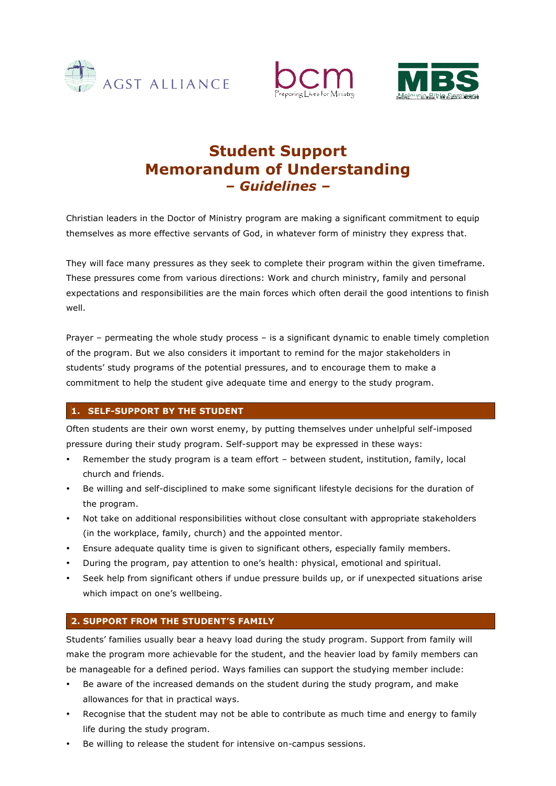





# **Student Support Memorandum of Understanding** *– Guidelines –*

Christian leaders in the Doctor of Ministry program are making a significant commitment to equip themselves as more effective servants of God, in whatever form of ministry they express that.

They will face many pressures as they seek to complete their program within the given timeframe. These pressures come from various directions: Work and church ministry, family and personal expectations and responsibilities are the main forces which often derail the good intentions to finish well.

Prayer – permeating the whole study process – is a significant dynamic to enable timely completion of the program. But we also considers it important to remind for the major stakeholders in students' study programs of the potential pressures, and to encourage them to make a commitment to help the student give adequate time and energy to the study program.

## **1. SELF-SUPPORT BY THE STUDENT**

Often students are their own worst enemy, by putting themselves under unhelpful self-imposed pressure during their study program. Self-support may be expressed in these ways:

- Remember the study program is a team effort between student, institution, family, local church and friends.
- Be willing and self-disciplined to make some significant lifestyle decisions for the duration of the program.
- Not take on additional responsibilities without close consultant with appropriate stakeholders (in the workplace, family, church) and the appointed mentor.
- Ensure adequate quality time is given to significant others, especially family members.
- During the program, pay attention to one's health: physical, emotional and spiritual.
- Seek help from significant others if undue pressure builds up, or if unexpected situations arise which impact on one's wellbeing.

### **2. SUPPORT FROM THE STUDENT'S FAMILY**

Students' families usually bear a heavy load during the study program. Support from family will make the program more achievable for the student, and the heavier load by family members can be manageable for a defined period. Ways families can support the studying member include:

- Be aware of the increased demands on the student during the study program, and make allowances for that in practical ways.
- Recognise that the student may not be able to contribute as much time and energy to family life during the study program.
- Be willing to release the student for intensive on-campus sessions.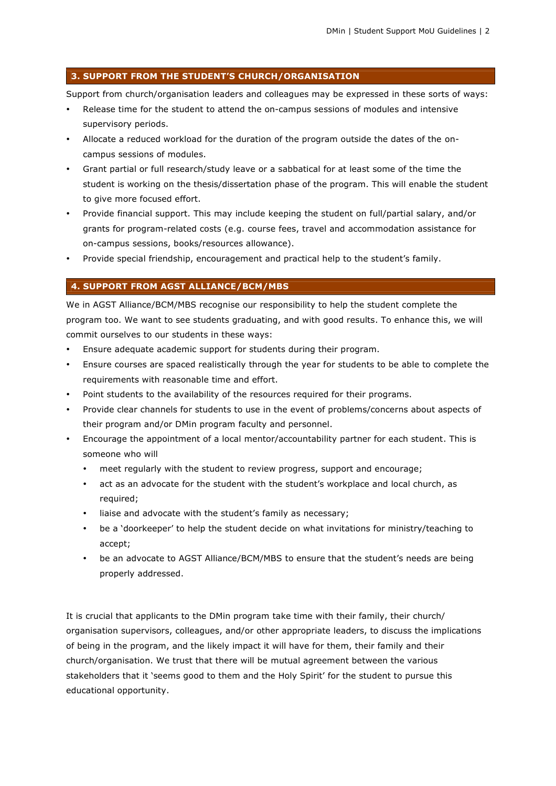#### **3. SUPPORT FROM THE STUDENT'S CHURCH/ORGANISATION**

Support from church/organisation leaders and colleagues may be expressed in these sorts of ways:

- Release time for the student to attend the on-campus sessions of modules and intensive supervisory periods.
- Allocate a reduced workload for the duration of the program outside the dates of the oncampus sessions of modules.
- Grant partial or full research/study leave or a sabbatical for at least some of the time the student is working on the thesis/dissertation phase of the program. This will enable the student to give more focused effort.
- Provide financial support. This may include keeping the student on full/partial salary, and/or grants for program-related costs (e.g. course fees, travel and accommodation assistance for on-campus sessions, books/resources allowance).
- Provide special friendship, encouragement and practical help to the student's family.

#### **4. SUPPORT FROM AGST ALLIANCE/BCM/MBS**

We in AGST Alliance/BCM/MBS recognise our responsibility to help the student complete the program too. We want to see students graduating, and with good results. To enhance this, we will commit ourselves to our students in these ways:

- Ensure adequate academic support for students during their program.
- Ensure courses are spaced realistically through the year for students to be able to complete the requirements with reasonable time and effort.
- Point students to the availability of the resources required for their programs.
- Provide clear channels for students to use in the event of problems/concerns about aspects of their program and/or DMin program faculty and personnel.
- Encourage the appointment of a local mentor/accountability partner for each student. This is someone who will
	- meet regularly with the student to review progress, support and encourage;
	- act as an advocate for the student with the student's workplace and local church, as required;
	- liaise and advocate with the student's family as necessary;
	- be a 'doorkeeper' to help the student decide on what invitations for ministry/teaching to accept;
	- be an advocate to AGST Alliance/BCM/MBS to ensure that the student's needs are being properly addressed.

It is crucial that applicants to the DMin program take time with their family, their church/ organisation supervisors, colleagues, and/or other appropriate leaders, to discuss the implications of being in the program, and the likely impact it will have for them, their family and their church/organisation. We trust that there will be mutual agreement between the various stakeholders that it 'seems good to them and the Holy Spirit' for the student to pursue this educational opportunity.